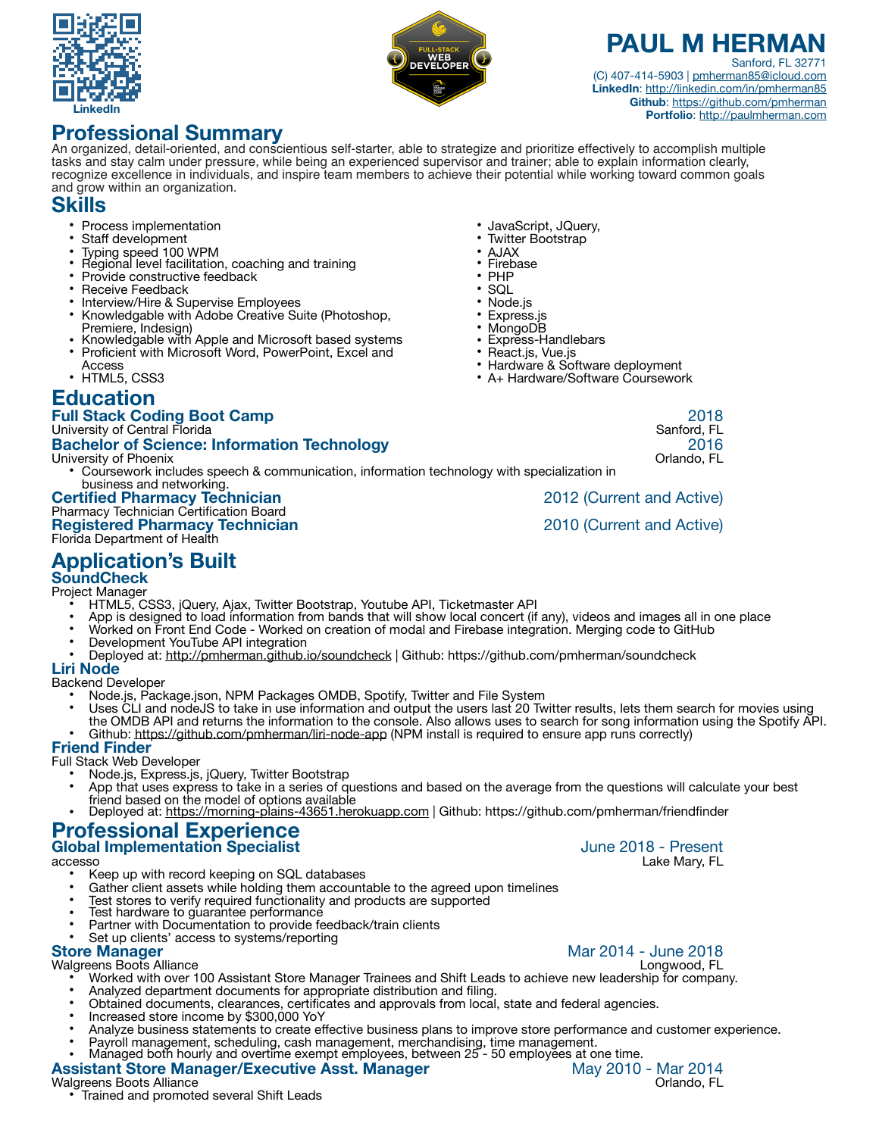



## **PAUL M HERMAI** Sanford, FL 32771

(C) 407-414-5903 | [pmherman85@icloud.com](mailto:pmherman85@icloud.com) **LinkedIn**: <http://linkedin.com/in/pmherman85> **Github**: <https://github.com/pmherman> **Portfolio**:<http://paulmherman.com>

# **Professional Summary**

An organized, detail-oriented, and conscientious self-starter, able to strategize and prioritize effectively to accomplish multiple tasks and stay calm under pressure, while being an experienced supervisor and trainer; able to explain information clearly, recognize excellence in individuals, and inspire team members to achieve their potential while working toward common goals and grow within an organization.

# **Skills**

- Process implementation
- Staff development<br>Typing speed 100 WPM
- 
- Regional level facilitation, coaching and training
- Provide constructive feedback
- Receive Feedback
- Interview/Hire & Supervise Employees
- Knowledgable with Adobe Creative Suite (Photoshop, Premiere, Indesign)
- Knowledgable with Apple and Microsoft based systems
- Proficient with Microsoft Word, PowerPoint, Excel and Access
- HTML5, CSS3

## **Education**

## **Full Stack Coding Boot Camp** 2018

#### University of Central Florida Sanford, FL

# **Bachelor of Science: Information Technology** 2016

#### University of Phoenix

• Coursework includes speech & communication, information technology with specialization in business and networking.

### **Certified Pharmacy Technician** 2012 (Current and Active)

#### Pharmacy Technician Certification Board **Registered Pharmacy Technician** 2010 (Current and Active) Florida Department of Health

• Hardware & Software deployment • A+ Hardware/Software Coursework

• JavaScript, JQuery, • Twitter Bootstrap

• Express-Handlebars • React.js, Vue.js

• AJAX **Firebase** • PHP • SQL • Node.js • Express.js • MongoDB

**Application's Built** 

# **SoundCheck**

Project Manager

- HTML5, CSS3, jQuery, Ajax, Twitter Bootstrap, Youtube API, Ticketmaster API
- App is designed to load information from bands that will show local concert (if any), videos and images all in one place
- Worked on Front End Code Worked on creation of modal and Firebase integration. Merging code to GitHub
- Development YouTube API integration
- Deployed at:<http://pmherman.github.io/soundcheck> | Github: https://github.com/pmherman/soundcheck

### **Liri Node**

Backend Developer

- Node.js, Package.json, NPM Packages OMDB, Spotify, Twitter and File System
- Uses CLI and nodeJS to take in use information and output the users last 20 Twitter results, lets them search for movies using the OMDB API and returns the information to the console. Also allows uses to search for song information using the Spotify API. Github:<https://github.com/pmherman/liri-node-app> (NPM install is required to ensure app runs correctly)

### **Friend Finder**

Full Stack Web Developer

- Node.js, Express.js, jQuery, Twitter Bootstrap
- App that uses express to take in a series of questions and based on the average from the questions will calculate your best
- friend based on the model of options available Deployed at:<https://morning-plains-43651.herokuapp.com> | Github: https://github.com/pmherman/friendfinder

### **Professional Experience Global Implementation Specialist Global Implementation Specialist June 2018** - Present

accesso Lake Mary, FL

- Keep up with record keeping on SQL databases
- Gather client assets while holding them accountable to the agreed upon timelines
- Test stores to verify required functionality and products are supported
- Test hardware to guarantee performance
- Partner with Documentation to provide feedback/train clients
- Set up clients' access to systems/reporting<br>Store Manager

Walgreens Boots Alliance

- Worked with over 100 Assistant Store Manager Trainees and Shift Leads to achieve new leadership for company. • Analyzed department documents for appropriate distribution and filing.
- Obtained documents, clearances, certificates and approvals from local, state and federal agencies.
- Increased store income by \$300,000 YoY
- Analyze business statements to create effective business plans to improve store performance and customer experience.
- Payroll management, scheduling, cash management, merchandising, time management.
- Managed both hourly and overtime exempt employees, between 25'- 50 employees at one time.

# **Assistant Store Manager/Executive Asst. Manager** May 2010 - Mar 2014

• Trained and promoted several Shift Leads